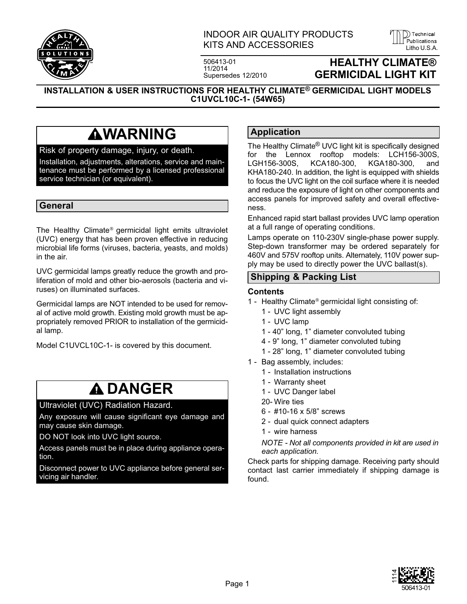

## INDOOR AIR QUALITY PRODUCTS KITS AND ACCESSORIES LITTED AND AND ACCESSORIES

506413-01 11/2014 Supersedes 12/2010



## **HEALTHY CLIMATE® GERMICIDAL LIGHT KIT**

**INSTALLATION & USER INSTRUCTIONS FOR HEALTHY CLIMATE® GERMICIDAL LIGHT MODELS C1UVCL10C-1- (54W65)**

## **AWARNING**

### Risk of property damage, injury, or death.

Installation, adjustments, alterations, service and maintenance must be performed by a licensed professional service technician (or equivalent).

#### **General**

The Healthy Climate® germicidal light emits ultraviolet (UVC) energy that has been proven effective in reducing microbial life forms (viruses, bacteria, yeasts, and molds) in the air.

UVC germicidal lamps greatly reduce the growth and proliferation of mold and other bio-aerosols (bacteria and viruses) on illuminated surfaces.

Germicidal lamps are NOT intended to be used for removal of active mold growth. Existing mold growth must be appropriately removed PRIOR to installation of the germicidal lamp.

Model C1UVCL10C-1- is covered by this document.

## **DANGER**

Ultraviolet (UVC) Radiation Hazard.

Any exposure will cause significant eye damage and may cause skin damage.

DO NOT look into UVC light source.

Access panels must be in place during appliance operation.

Disconnect power to UVC appliance before general servicing air handler.

## **Application**

The Healthy Climate® UVC light kit is specifically designed for the Lennox rooftop models: LCH156-300S, LGH156-300S, KCA180-300, KGA180-300, and KHA180-240. In addition, the light is equipped with shields to focus the UVC light on the coil surface where it is needed and reduce the exposure of light on other components and access panels for improved safety and overall effectiveness.

Enhanced rapid start ballast provides UVC lamp operation at a full range of operating conditions.

Lamps operate on 110-230V single‐phase power supply. Step-down transformer may be ordered separately for 460V and 575V rooftop units. Alternately, 110V power supply may be used to directly power the UVC ballast(s).

## **Shipping & Packing List**

#### **Contents**

- 1 Healthy Climate® germicidal light consisting of:
	- 1 UVC light assembly
	- 1 UVC lamp
	- 1 40" long, 1" diameter convoluted tubing
	- 4 9" long, 1" diameter convoluted tubing
	- 1 28" long, 1" diameter convoluted tubing
- 1 Bag assembly, includes:
	- 1 Installation instructions
	- 1 Warranty sheet
	- 1 UVC Danger label
	- 20- Wire ties
	- 6 #10-16 x 5/8" screws
	- 2 dual quick connect adapters
	- 1 wire harness

*NOTE - Not all components provided in kit are used in each application.*

Check parts for shipping damage. Receiving party should contact last carrier immediately if shipping damage is found.

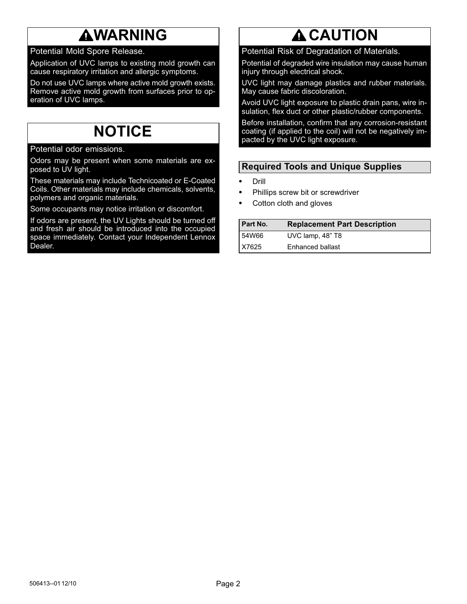## **AWARNING**

Potential Mold Spore Release.

Application of UVC lamps to existing mold growth can cause respiratory irritation and allergic symptoms.

Do not use UVC lamps where active mold growth exists. Remove active mold growth from surfaces prior to operation of UVC lamps.

## **NOTICE**

Potential odor emissions.

Odors may be present when some materials are exposed to UV light.

These materials may include Technicoated or E-Coated Coils. Other materials may include chemicals, solvents, polymers and organic materials.

Some occupants may notice irritation or discomfort.

If odors are present, the UV Lights should be turned off and fresh air should be introduced into the occupied space immediately. Contact your Independent Lennox Dealer.

# **A CAUTION**

Potential Risk of Degradation of Materials.

Potential of degraded wire insulation may cause human injury through electrical shock.

UVC light may damage plastics and rubber materials. May cause fabric discoloration.

Avoid UVC light exposure to plastic drain pans, wire insulation, flex duct or other plastic/rubber components.

Before installation, confirm that any corrosion‐resistant coating (if applied to the coil) will not be negatively impacted by the UVC light exposure.

## **Required Tools and Unique Supplies**

- - Drill -
- Phillips screw bit or screwdriver -
- Cotton cloth and gloves

| <b>Part No.</b> | <b>Replacement Part Description</b> |
|-----------------|-------------------------------------|
| 54W66           | UVC lamp, 48" T8                    |
| X7625           | Enhanced ballast                    |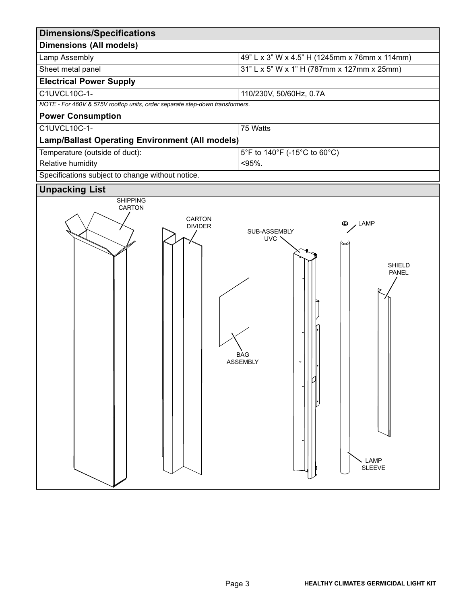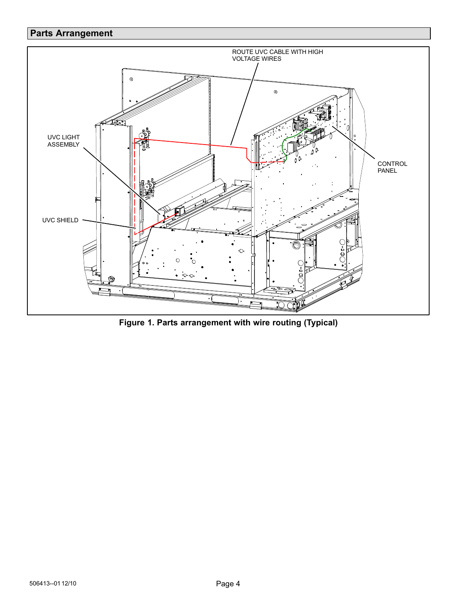## <span id="page-3-0"></span>**Parts Arrangement**



**Figure 1. Parts arrangement with wire routing (Typical)**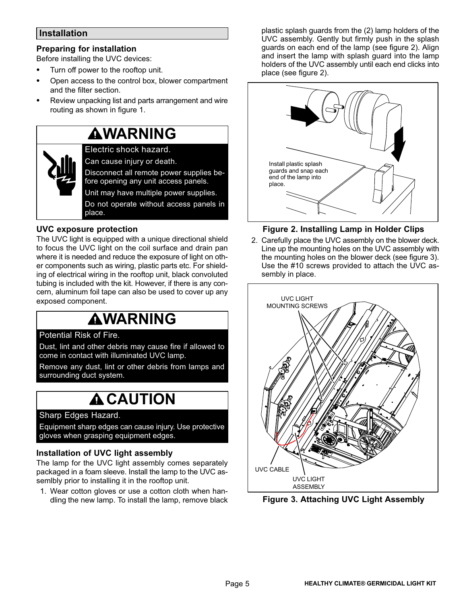## <span id="page-4-0"></span>**Installation**

## **Preparing for installation**

Before installing the UVC devices: -

- Turn off power to the rooftop unit.  $\bullet$
- Open access to the control box, blower compartment and the filter section.
- Review unpacking list and parts arrangement and wire routing as shown in figure [1](#page-3-0).

## **WARNING**

Electric shock hazard. Can cause injury or death. Disconnect all remote power supplies before opening any unit access panels. Unit may have multiple power supplies. Do not operate without access panels in place.

### **UVC exposure protection**

The UVC light is equipped with a unique directional shield to focus the UVC light on the coil surface and drain pan where it is needed and reduce the exposure of light on other components such as wiring, plastic parts etc. For shielding of electrical wiring in the rooftop unit, black convoluted tubing is included with the kit. However, if there is any concern, aluminum foil tape can also be used to cover up any exposed component.

## **WARNING**

### Potential Risk of Fire.

Dust, lint and other debris may cause fire if allowed to come in contact with illuminated UVC lamp.

Remove any dust, lint or other debris from lamps and surrounding duct system.

## **A CAUTION**

## Sharp Edges Hazard.

Equipment sharp edges can cause injury. Use protective gloves when grasping equipment edges.

### **Installation of UVC light assembly**

The lamp for the UVC light assembly comes separately packaged in a foam sleeve. Install the lamp to the UVC assemlbly prior to installing it in the rooftop unit.

1. Wear cotton gloves or use a cotton cloth when handling the new lamp. To install the lamp, remove black plastic splash guards from the (2) lamp holders of the UVC assembly. Gently but firmly push in the splash guards on each end of the lamp (see figure 2). Align and insert the lamp with splash guard into the lamp holders of the UVC assembly until each end clicks into place (see figure 2).



## **Figure 2. Installing Lamp in Holder Clips**

2. Carefully place the UVC assembly on the blower deck. Line up the mounting holes on the UVC assembly with the mounting holes on the blower deck (see figure 3). Use the #10 screws provided to attach the UVC assembly in place.



**Figure 3. Attaching UVC Light Assembly**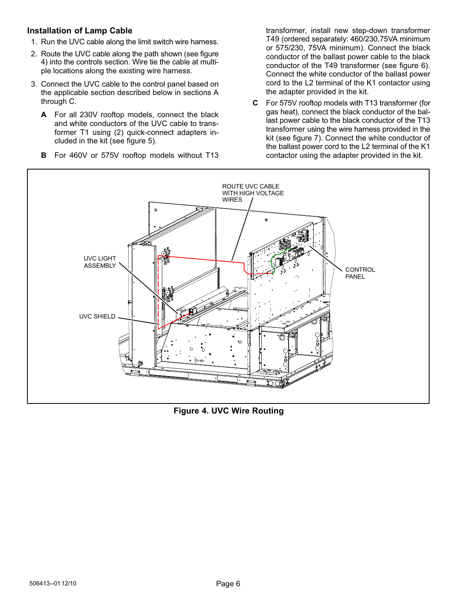### **Installation of Lamp Cable**

- 1. Run the UVC cable along the limit switch wire harness.
- 2. Route the UVC cable along the path shown (see figure 4) into the controls section. Wire tie the cable at multiple locations along the existing wire harness.
- 3. Connect the UVC cable to the control panel based on the applicable section described below in sections A through C.
	- **A** For all 230V rooftop models, connect the black and white conductors of the UVC cable to transformer T1 using (2) quick-connect adapters included in the kit (see figure [5\)](#page-6-0).
	- **B** For 460V or 575V rooftop models without T13

transformer, install new step-down transformer T49 (ordered separately: 460/230,75VA minimum or 575/230, 75VA minimum). Connect the black conductor of the ballast power cable to the black conductor of the T49 transformer (see figure [6\)](#page-6-0). Connect the white conductor of the ballast power cord to the L2 terminal of the K1 contactor using the adapter provided in the kit.

**C** For 575V rooftop models with T13 transformer (for gas heat), connect the black conductor of the ballast power cable to the black conductor of the T13 transformer using the wire harness provided in the kit (see figure [7\)](#page-6-0). Connect the white conductor of the ballast power cord to the L2 terminal of the K1 contactor using the adapter provided in the kit.



**Figure 4. UVC Wire Routing**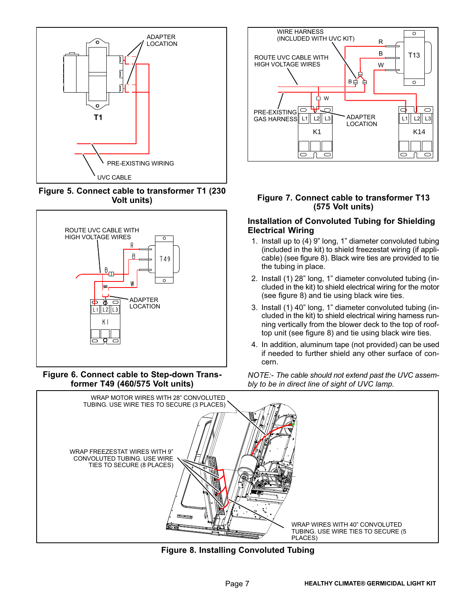<span id="page-6-0"></span>

**Figure 5. Connect cable to transformer T1 (230 Volt units)**



**Figure 6. Connect cable to Step-down Transformer T49 (460/575 Volt units)**



#### **Figure 7. Connect cable to transformer T13 (575 Volt units)**

#### **Installation of Convoluted Tubing for Shielding Electrical Wiring**

- 1. Install up to (4) 9" long, 1" diameter convoluted tubing (included in the kit) to shield freezestat wiring (if applicable) (see figure 8). Black wire ties are provided to tie the tubing in place.
- 2. Install (1) 28" long, 1" diameter convoluted tubing (included in the kit) to shield electrical wiring for the motor (see figure 8) and tie using black wire ties.
- 3. Install (1) 40" long, 1" diameter convoluted tubing (included in the kit) to shield electrical wiring harness running vertically from the blower deck to the top of rooftop unit (see figure 8) and tie using black wire ties.
- 4. In addition, aluminum tape (not provided) can be used if needed to further shield any other surface of concern.

*NOTE:- The cable should not extend past the UVC assembly to be in direct line of sight of UVC lamp.*



**Figure 8. Installing Convoluted Tubing**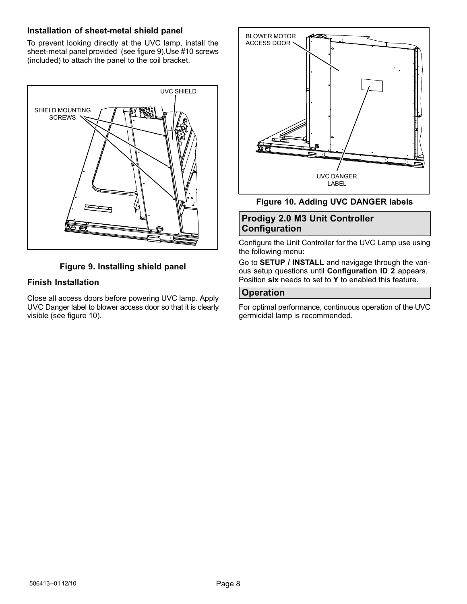### **Installation of sheet-metal shield panel**

To prevent looking directly at the UVC lamp, install the sheet-metal panel provided (see figure 9).Use #10 screws (included) to attach the panel to the coil bracket.



## **Figure 9. Installing shield panel**

## **Finish Installation**

Close all access doors before powering UVC lamp. Apply UVC Danger label to blower access door so that it is clearly visible (see figure 10).



#### **Figure 10. Adding UVC DANGER labels**

## **Prodigy 2.0 M3 Unit Controller Configuration**

Configure the Unit Controller for the UVC Lamp use using the following menu:

Go to **SETUP / INSTALL** and navigage through the various setup questions until **Configuration ID 2** appears. Position **six** needs to set to **Y** to enabled this feature.

#### **Operation**

For optimal performance, continuous operation of the UVC germicidal lamp is recommended.